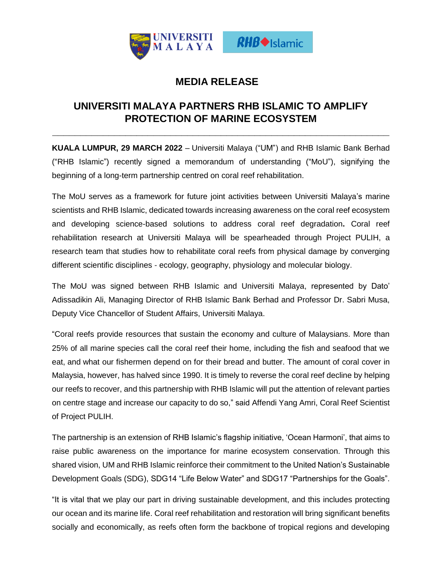

## **MEDIA RELEASE**

## **UNIVERSITI MALAYA PARTNERS RHB ISLAMIC TO AMPLIFY PROTECTION OF MARINE ECOSYSTEM**

**\_\_\_\_\_\_\_\_\_\_\_\_\_\_\_\_\_\_\_\_\_\_\_\_\_\_\_\_\_\_\_\_\_\_\_\_\_\_\_\_\_\_\_\_\_\_\_\_\_\_\_\_\_\_\_\_\_\_\_\_**

**KUALA LUMPUR, 29 MARCH 2022** – Universiti Malaya ("UM") and RHB Islamic Bank Berhad ("RHB Islamic") recently signed a memorandum of understanding ("MoU"), signifying the beginning of a long-term partnership centred on coral reef rehabilitation.

The MoU serves as a framework for future joint activities between Universiti Malaya's marine scientists and RHB Islamic, dedicated towards increasing awareness on the coral reef ecosystem and developing science-based solutions to address coral reef degradation**.** Coral reef rehabilitation research at Universiti Malaya will be spearheaded through Project PULIH, a research team that studies how to rehabilitate coral reefs from physical damage by converging different scientific disciplines - ecology, geography, physiology and molecular biology.

The MoU was signed between RHB Islamic and Universiti Malaya, represented by Dato' Adissadikin Ali, Managing Director of RHB Islamic Bank Berhad and Professor Dr. Sabri Musa, Deputy Vice Chancellor of Student Affairs, Universiti Malaya.

"Coral reefs provide resources that sustain the economy and culture of Malaysians. More than 25% of all marine species call the coral reef their home, including the fish and seafood that we eat, and what our fishermen depend on for their bread and butter. The amount of coral cover in Malaysia, however, has halved since 1990. It is timely to reverse the coral reef decline by helping our reefs to recover, and this partnership with RHB Islamic will put the attention of relevant parties on centre stage and increase our capacity to do so," said Affendi Yang Amri, Coral Reef Scientist of Project PULIH.

The partnership is an extension of RHB Islamic's flagship initiative, 'Ocean Harmoni', that aims to raise public awareness on the importance for marine ecosystem conservation. Through this shared vision, UM and RHB Islamic reinforce their commitment to the United Nation's Sustainable Development Goals (SDG), SDG14 "Life Below Water" and SDG17 "Partnerships for the Goals".

"It is vital that we play our part in driving sustainable development, and this includes protecting our ocean and its marine life. Coral reef rehabilitation and restoration will bring significant benefits socially and economically, as reefs often form the backbone of tropical regions and developing